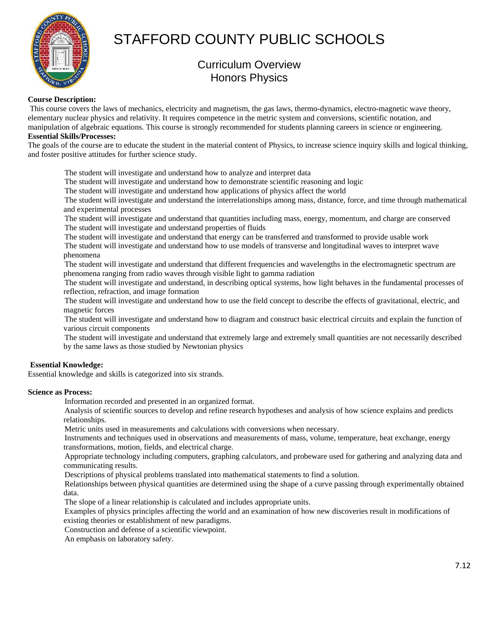

# STAFFORD COUNTY PUBLIC SCHOOLS

# Curriculum Overview Honors Physics

# **Course Description:**

 This course covers the laws of mechanics, electricity and magnetism, the gas laws, thermo-dynamics, electro-magnetic wave theory, elementary nuclear physics and relativity. It requires competence in the metric system and conversions, scientific notation, and manipulation of algebraic equations. This course is strongly recommended for students planning careers in science or engineering.

# **Essential Skills/Processes:**

The goals of the course are to educate the student in the material content of Physics, to increase science inquiry skills and logical thinking, and foster positive attitudes for further science study.

The student will investigate and understand how to analyze and interpret data

The student will investigate and understand how to demonstrate scientific reasoning and logic

The student will investigate and understand how applications of physics affect the world

 The student will investigate and understand the interrelationships among mass, distance, force, and time through mathematical and experimental processes

 The student will investigate and understand that quantities including mass, energy, momentum, and charge are conserved The student will investigate and understand properties of fluids

The student will investigate and understand that energy can be transferred and transformed to provide usable work

 The student will investigate and understand how to use models of transverse and longitudinal waves to interpret wave phenomena

 The student will investigate and understand that different frequencies and wavelengths in the electromagnetic spectrum are phenomena ranging from radio waves through visible light to gamma radiation

 The student will investigate and understand, in describing optical systems, how light behaves in the fundamental processes of reflection, refraction, and image formation

 The student will investigate and understand how to use the field concept to describe the effects of gravitational, electric, and magnetic forces

 The student will investigate and understand how to diagram and construct basic electrical circuits and explain the function of various circuit components

 The student will investigate and understand that extremely large and extremely small quantities are not necessarily described by the same laws as those studied by Newtonian physics

# **Essential Knowledge:**

Essential knowledge and skills is categorized into six strands.

# **Science as Process:**

Information recorded and presented in an organized format.

 Analysis of scientific sources to develop and refine research hypotheses and analysis of how science explains and predicts relationships.

Metric units used in measurements and calculations with conversions when necessary.

 Instruments and techniques used in observations and measurements of mass, volume, temperature, heat exchange, energy transformations, motion, fields, and electrical charge.

 Appropriate technology including computers, graphing calculators, and probeware used for gathering and analyzing data and communicating results.

Descriptions of physical problems translated into mathematical statements to find a solution.

 Relationships between physical quantities are determined using the shape of a curve passing through experimentally obtained data.

The slope of a linear relationship is calculated and includes appropriate units.

 Examples of physics principles affecting the world and an examination of how new discoveries result in modifications of existing theories or establishment of new paradigms.

Construction and defense of a scientific viewpoint.

An emphasis on laboratory safety.